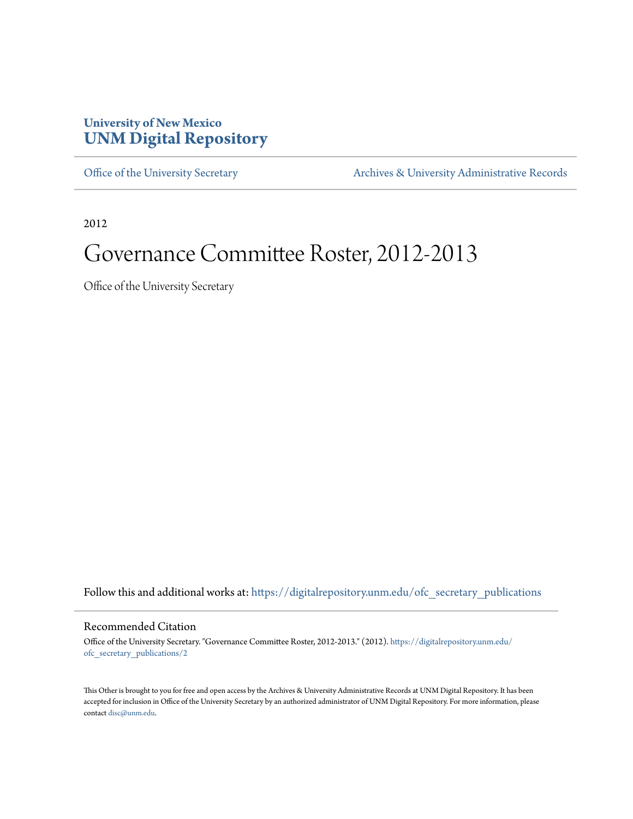### **University of New Mexico [UNM Digital Repository](https://digitalrepository.unm.edu?utm_source=digitalrepository.unm.edu%2Fofc_secretary_publications%2F2&utm_medium=PDF&utm_campaign=PDFCoverPages)**

[Office of the University Secretary](https://digitalrepository.unm.edu/ofc_secretary_publications?utm_source=digitalrepository.unm.edu%2Fofc_secretary_publications%2F2&utm_medium=PDF&utm_campaign=PDFCoverPages) **[Archives & University Administrative Records](https://digitalrepository.unm.edu/archives?utm_source=digitalrepository.unm.edu%2Fofc_secretary_publications%2F2&utm_medium=PDF&utm_campaign=PDFCoverPages)** 

2012

# Governance Committee Roster, 2012-2013

Office of the University Secretary

Follow this and additional works at: [https://digitalrepository.unm.edu/ofc\\_secretary\\_publications](https://digitalrepository.unm.edu/ofc_secretary_publications?utm_source=digitalrepository.unm.edu%2Fofc_secretary_publications%2F2&utm_medium=PDF&utm_campaign=PDFCoverPages)

#### Recommended Citation

Office of the University Secretary. "Governance Committee Roster, 2012-2013." (2012). [https://digitalrepository.unm.edu/](https://digitalrepository.unm.edu/ofc_secretary_publications/2?utm_source=digitalrepository.unm.edu%2Fofc_secretary_publications%2F2&utm_medium=PDF&utm_campaign=PDFCoverPages) [ofc\\_secretary\\_publications/2](https://digitalrepository.unm.edu/ofc_secretary_publications/2?utm_source=digitalrepository.unm.edu%2Fofc_secretary_publications%2F2&utm_medium=PDF&utm_campaign=PDFCoverPages)

This Other is brought to you for free and open access by the Archives & University Administrative Records at UNM Digital Repository. It has been accepted for inclusion in Office of the University Secretary by an authorized administrator of UNM Digital Repository. For more information, please contact [disc@unm.edu.](mailto:disc@unm.edu)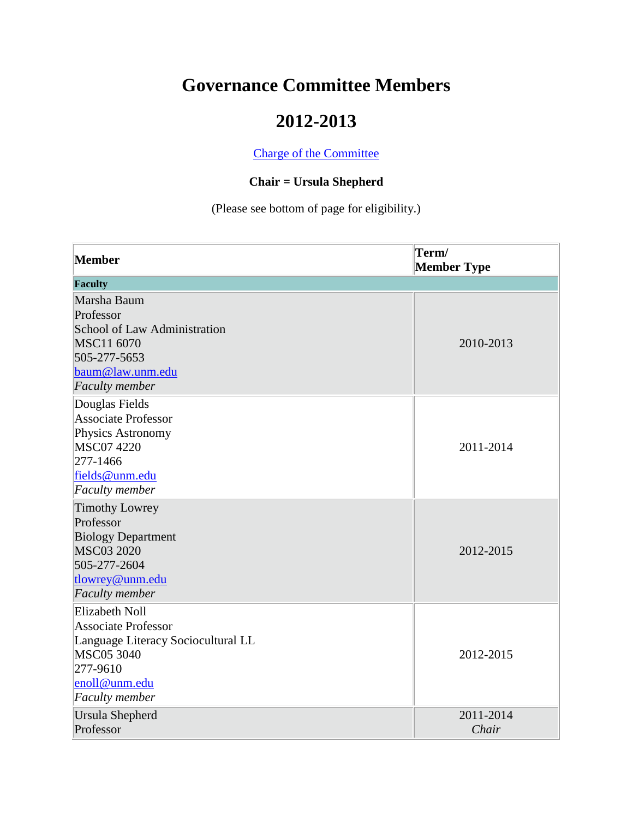## **Governance Committee Members**

### **2012-2013**

[Charge of the Committee](http://www.unm.edu/~handbook/A52.2.html)

#### **Chair = Ursula Shepherd**

(Please see bottom of page for eligibility.)

| Member                                                                                                                                                               | Term/<br><b>Member Type</b> |
|----------------------------------------------------------------------------------------------------------------------------------------------------------------------|-----------------------------|
| Faculty                                                                                                                                                              |                             |
| Marsha Baum<br>Professor<br>School of Law Administration<br>MSC11 6070<br>505-277-5653<br>baum@law.unm.edu<br><b>Faculty</b> member                                  | 2010-2013                   |
| Douglas Fields<br><b>Associate Professor</b><br>Physics Astronomy<br><b>MSC07 4220</b><br>277-1466<br>fields@unm.edu<br><b>Faculty</b> member                        | 2011-2014                   |
| <b>Timothy Lowrey</b><br>Professor<br><b>Biology Department</b><br><b>MSC03 2020</b><br>505-277-2604<br>tlowrey@unm.edu<br><b>Faculty</b> member                     | 2012-2015                   |
| <b>Elizabeth Noll</b><br><b>Associate Professor</b><br>Language Literacy Sociocultural LL<br><b>MSC05 3040</b><br>277-9610<br>enoll@unm.edu<br><b>Faculty</b> member | 2012-2015                   |
| <b>Ursula Shepherd</b><br>Professor                                                                                                                                  | 2011-2014<br>Chair          |